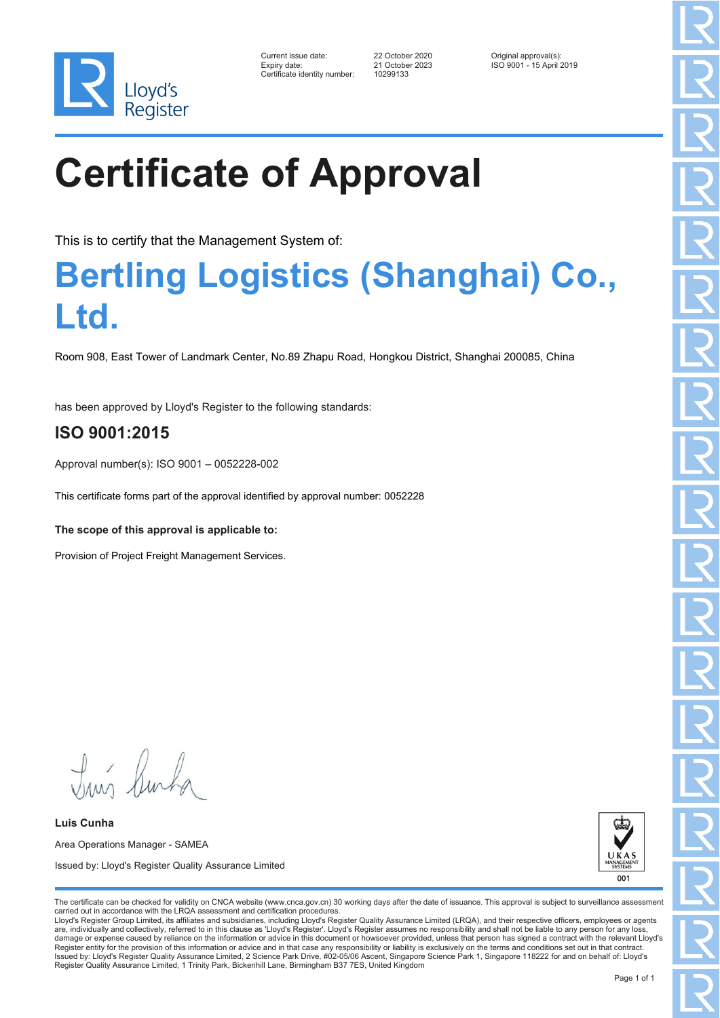

| Current issue date:          | 22 October 2020 | Original approval(s):    |
|------------------------------|-----------------|--------------------------|
| Expiry date:                 | 21 October 2023 | ISO 9001 - 15 April 2019 |
| Certificate identity number: | 10299133        |                          |

# **Certificate of Approval**

This is to certify that the Management System of:

## **Bertling Logistics (Shanghai) Co., Ltd.**

Room 908, East Tower of Landmark Center, No.89 Zhapu Road, Hongkou District, Shanghai 200085, China

has been approved by Lloyd's Register to the following standards:

### **ISO 9001:2015**

Approval number(s): ISO 9001 – 0052228-002

This certificate forms part of the approval identified by approval number: 0052228

**The scope of this approval is applicable to:**

Provision of Project Freight Management Services.

Tuns Rusha

**Luis Cunha** Area Operations Manager - SAMEA Issued by: Lloyd's Register Quality Assurance Limited



The certificate can be checked for validity on CNCA website (www.cnca.gov.cn) 30 working days after the date of issuance. This approval is subject to surveillance assessment carried out in accordance with the LRQA assessment and certification procedures.

Lloyd's Register Group Limited, its affiliates and subsidiaries, including Lloyd's Register Quality Assurance Limited (LRQA), and their respective officers, employees or agents are, individually and collectively, referred to in this clause as 'Lloyd's Register'. Lloyd's Register assumes no responsibility and shall not be liable to any person for any los damage or expense caused by reliance on the information or advice in this document or howsoever provided, unless that person has signed a contract with the relevant Lloyd's<br>Register entity for the provision of this informa Issued by: Lloyd's Register Quality Assurance Limited, 2 Science Park Drive, #02-05/06 Ascent, Singapore Science Park 1, Singapore 118222 for and on behalf of: Lloyd's Register Quality Assurance Limited, 1 Trinity Park, Bickenhill Lane, Birmingham B37 7ES, United Kingdom